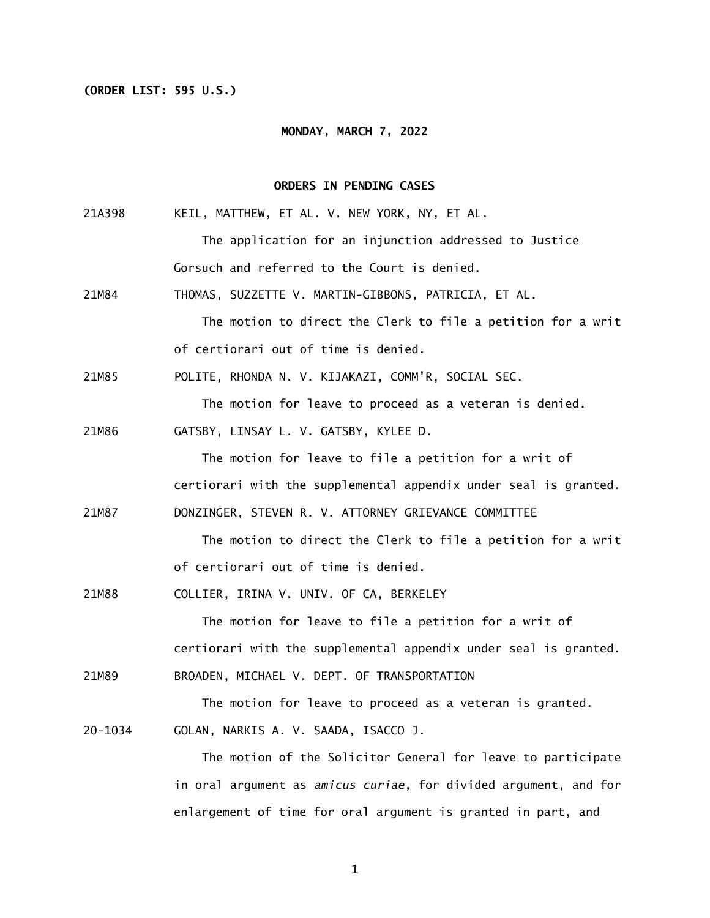## **(ORDER LIST: 595 U.S.)**

### **MONDAY, MARCH 7, 2022**

## **ORDERS IN PENDING CASES**

- 21A398 KEIL, MATTHEW, ET AL. V. NEW YORK, NY, ET AL. The application for an injunction addressed to Justice Gorsuch and referred to the Court is denied.
- 21M84 THOMAS, SUZZETTE V. MARTIN-GIBBONS, PATRICIA, ET AL. The motion to direct the Clerk to file a petition for a writ of certiorari out of time is denied.
- 21M85 POLITE, RHONDA N. V. KIJAKAZI, COMM'R, SOCIAL SEC.

The motion for leave to proceed as a veteran is denied.

21M86 GATSBY, LINSAY L. V. GATSBY, KYLEE D.

 The motion for leave to file a petition for a writ of certiorari with the supplemental appendix under seal is granted.

21M87 DONZINGER, STEVEN R. V. ATTORNEY GRIEVANCE COMMITTEE

 The motion to direct the Clerk to file a petition for a writ of certiorari out of time is denied.

21M88 COLLIER, IRINA V. UNIV. OF CA, BERKELEY

 The motion for leave to file a petition for a writ of certiorari with the supplemental appendix under seal is granted.

21M89 BROADEN, MICHAEL V. DEPT. OF TRANSPORTATION

The motion for leave to proceed as a veteran is granted.

20-1034 GOLAN, NARKIS A. V. SAADA, ISACCO J.

 The motion of the Solicitor General for leave to participate in oral argument as *amicus curiae*, for divided argument, and for enlargement of time for oral argument is granted in part, and

1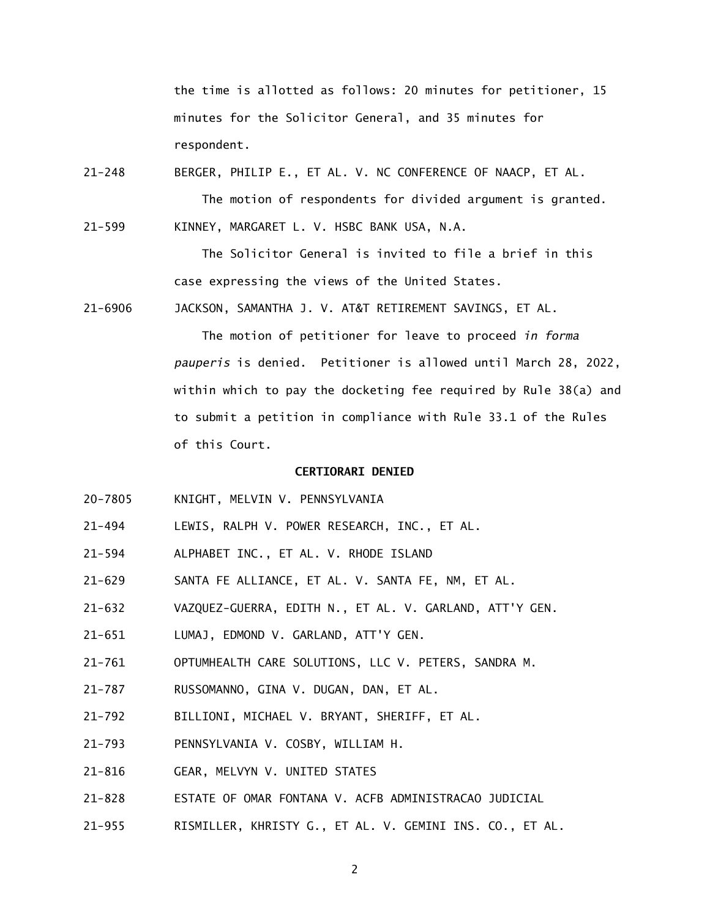the time is allotted as follows: 20 minutes for petitioner, 15 minutes for the Solicitor General, and 35 minutes for respondent.

21-248 BERGER, PHILIP E., ET AL. V. NC CONFERENCE OF NAACP, ET AL. The motion of respondents for divided argument is granted.

21-599 KINNEY, MARGARET L. V. HSBC BANK USA, N.A.

 The Solicitor General is invited to file a brief in this case expressing the views of the United States.

21-6906 JACKSON, SAMANTHA J. V. AT&T RETIREMENT SAVINGS, ET AL.

 The motion of petitioner for leave to proceed *in forma pauperis* is denied. Petitioner is allowed until March 28, 2022, within which to pay the docketing fee required by Rule 38(a) and to submit a petition in compliance with Rule 33.1 of the Rules of this Court.

## **CERTIORARI DENIED**

- 20-7805 KNIGHT, MELVIN V. PENNSYLVANIA
- 21-494 LEWIS, RALPH V. POWER RESEARCH, INC., ET AL.
- 21-594 ALPHABET INC., ET AL. V. RHODE ISLAND
- 21-629 SANTA FE ALLIANCE, ET AL. V. SANTA FE, NM, ET AL.
- 21-632 VAZQUEZ-GUERRA, EDITH N., ET AL. V. GARLAND, ATT'Y GEN.
- 21-651 LUMAJ, EDMOND V. GARLAND, ATT'Y GEN.
- 21-761 OPTUMHEALTH CARE SOLUTIONS, LLC V. PETERS, SANDRA M.
- 21-787 RUSSOMANNO, GINA V. DUGAN, DAN, ET AL.
- 21-792 BILLIONI, MICHAEL V. BRYANT, SHERIFF, ET AL.
- 21-793 PENNSYLVANIA V. COSBY, WILLIAM H.
- 21-816 GEAR, MELVYN V. UNITED STATES
- 21-828 ESTATE OF OMAR FONTANA V. ACFB ADMINISTRACAO JUDICIAL
- 21-955 RISMILLER, KHRISTY G., ET AL. V. GEMINI INS. CO., ET AL.

2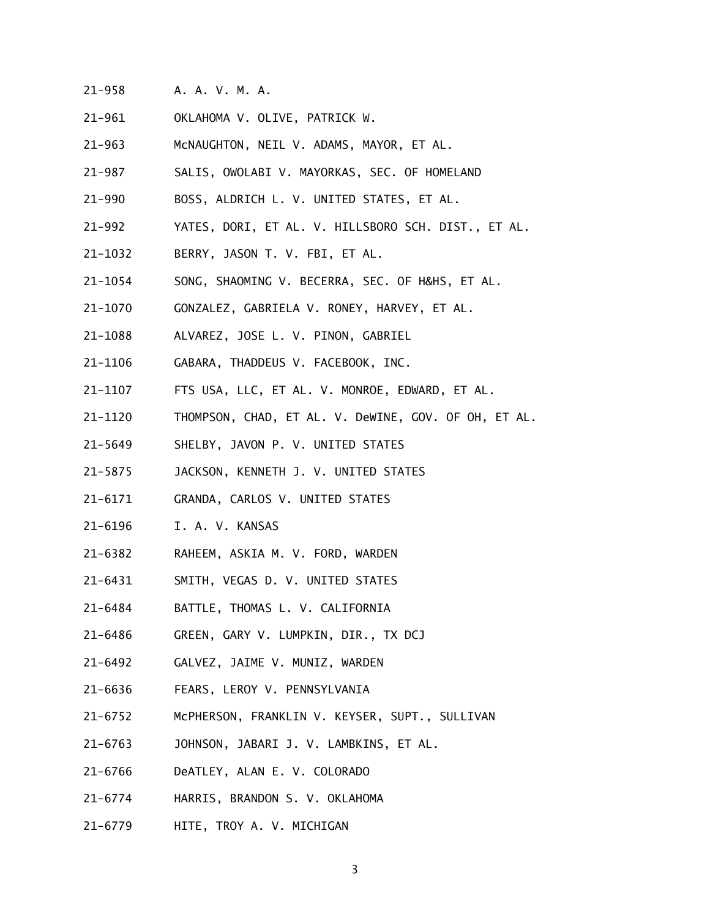- 21-958 A. A. V. M. A.
- 21-961 OKLAHOMA V. OLIVE, PATRICK W.
- 21-963 McNAUGHTON, NEIL V. ADAMS, MAYOR, ET AL.
- 21-987 SALIS, OWOLABI V. MAYORKAS, SEC. OF HOMELAND
- 21-990 BOSS, ALDRICH L. V. UNITED STATES, ET AL.
- 21-992 YATES, DORI, ET AL. V. HILLSBORO SCH. DIST., ET AL.
- 21-1032 BERRY, JASON T. V. FBI, ET AL.
- 21-1054 SONG, SHAOMING V. BECERRA, SEC. OF H&HS, ET AL.
- 21-1070 GONZALEZ, GABRIELA V. RONEY, HARVEY, ET AL.
- 21-1088 ALVAREZ, JOSE L. V. PINON, GABRIEL
- 21-1106 GABARA, THADDEUS V. FACEBOOK, INC.
- 21-1107 FTS USA, LLC, ET AL. V. MONROE, EDWARD, ET AL.
- 21-1120 THOMPSON, CHAD, ET AL. V. DeWINE, GOV. OF OH, ET AL.
- 21-5649 SHELBY, JAVON P. V. UNITED STATES
- 21-5875 JACKSON, KENNETH J. V. UNITED STATES
- 21-6171 GRANDA, CARLOS V. UNITED STATES
- 21-6196 I. A. V. KANSAS
- 21-6382 RAHEEM, ASKIA M. V. FORD, WARDEN
- 21-6431 SMITH, VEGAS D. V. UNITED STATES
- 21-6484 BATTLE, THOMAS L. V. CALIFORNIA
- 21-6486 GREEN, GARY V. LUMPKIN, DIR., TX DCJ
- 21-6492 GALVEZ, JAIME V. MUNIZ, WARDEN
- 21-6636 FEARS, LEROY V. PENNSYLVANIA
- 21-6752 McPHERSON, FRANKLIN V. KEYSER, SUPT., SULLIVAN
- 21-6763 JOHNSON, JABARI J. V. LAMBKINS, ET AL.
- 21-6766 DeATLEY, ALAN E. V. COLORADO
- 21-6774 HARRIS, BRANDON S. V. OKLAHOMA
- 21-6779 HITE, TROY A. V. MICHIGAN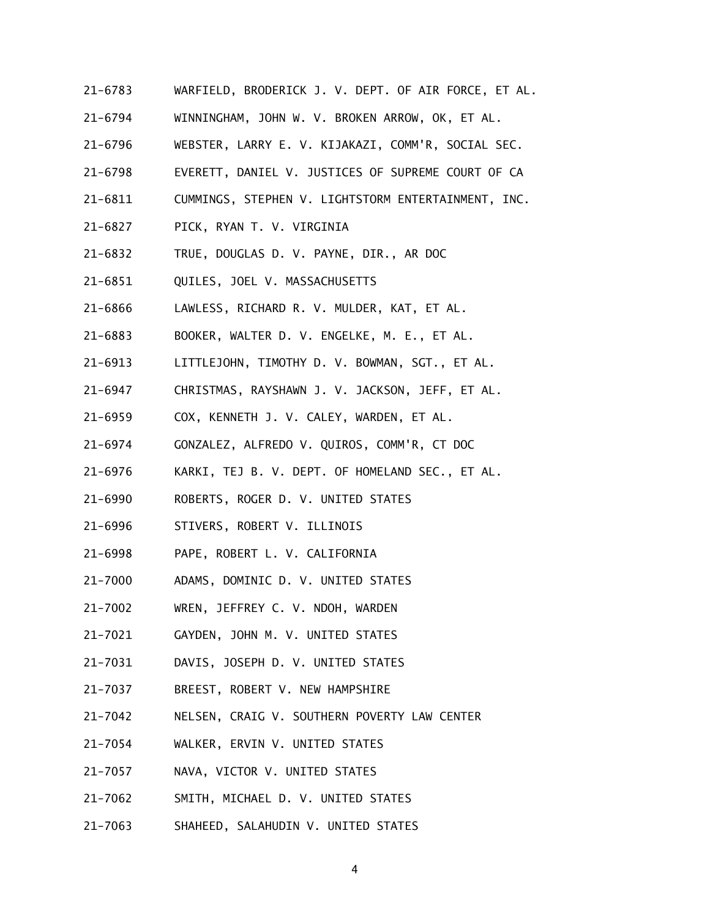- 21-6783 WARFIELD, BRODERICK J. V. DEPT. OF AIR FORCE, ET AL.
- 21-6794 WINNINGHAM, JOHN W. V. BROKEN ARROW, OK, ET AL.
- 21-6796 WEBSTER, LARRY E. V. KIJAKAZI, COMM'R, SOCIAL SEC.
- 21-6798 EVERETT, DANIEL V. JUSTICES OF SUPREME COURT OF CA
- 21-6811 CUMMINGS, STEPHEN V. LIGHTSTORM ENTERTAINMENT, INC.
- 21-6827 PICK, RYAN T. V. VIRGINIA
- 21-6832 TRUE, DOUGLAS D. V. PAYNE, DIR., AR DOC
- 21-6851 QUILES, JOEL V. MASSACHUSETTS
- 21-6866 LAWLESS, RICHARD R. V. MULDER, KAT, ET AL.
- 21-6883 BOOKER, WALTER D. V. ENGELKE, M. E., ET AL.
- 21-6913 LITTLEJOHN, TIMOTHY D. V. BOWMAN, SGT., ET AL.
- 21-6947 CHRISTMAS, RAYSHAWN J. V. JACKSON, JEFF, ET AL.
- 21-6959 COX, KENNETH J. V. CALEY, WARDEN, ET AL.
- 21-6974 GONZALEZ, ALFREDO V. QUIROS, COMM'R, CT DOC
- 21-6976 KARKI, TEJ B. V. DEPT. OF HOMELAND SEC., ET AL.
- 21-6990 ROBERTS, ROGER D. V. UNITED STATES
- 21-6996 STIVERS, ROBERT V. ILLINOIS
- 21-6998 PAPE, ROBERT L. V. CALIFORNIA
- 21-7000 ADAMS, DOMINIC D. V. UNITED STATES
- 21-7002 WREN, JEFFREY C. V. NDOH, WARDEN
- 21-7021 GAYDEN, JOHN M. V. UNITED STATES
- 21-7031 DAVIS, JOSEPH D. V. UNITED STATES
- 21-7037 BREEST, ROBERT V. NEW HAMPSHIRE
- 21-7042 NELSEN, CRAIG V. SOUTHERN POVERTY LAW CENTER
- 21-7054 WALKER, ERVIN V. UNITED STATES
- 21-7057 NAVA, VICTOR V. UNITED STATES
- 21-7062 SMITH, MICHAEL D. V. UNITED STATES
- 21-7063 SHAHEED, SALAHUDIN V. UNITED STATES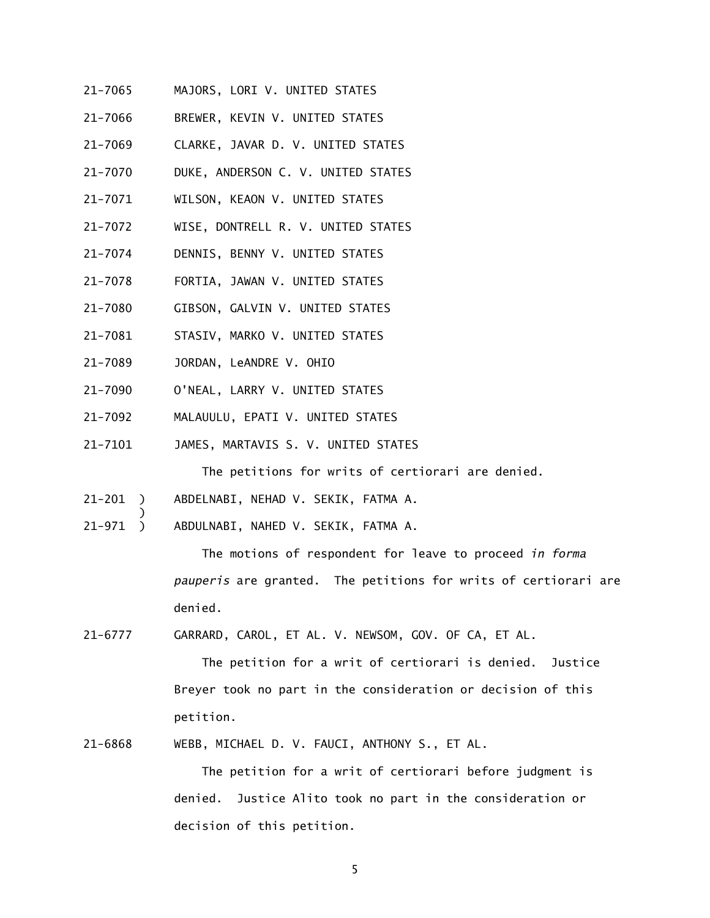- 21-7065 MAJORS, LORI V. UNITED STATES
- 21-7066 BREWER, KEVIN V. UNITED STATES
- 21-7069 CLARKE, JAVAR D. V. UNITED STATES
- 21-7070 DUKE, ANDERSON C. V. UNITED STATES
- 21-7071 WILSON, KEAON V. UNITED STATES
- 21-7072 WISE, DONTRELL R. V. UNITED STATES
- 21-7074 DENNIS, BENNY V. UNITED STATES
- 21-7078 FORTIA, JAWAN V. UNITED STATES
- 21-7080 GIBSON, GALVIN V. UNITED STATES
- 21-7081 STASIV, MARKO V. UNITED STATES
- 21-7089 JORDAN, LeANDRE V. OHIO

 $\overline{\phantom{a}}$ 

- 21-7090 O'NEAL, LARRY V. UNITED STATES
- 21-7092 MALAUULU, EPATI V. UNITED STATES
- 21-7101 JAMES, MARTAVIS S. V. UNITED STATES

The petitions for writs of certiorari are denied.

- 21-201 ) ABDELNABI, NEHAD V. SEKIK, FATMA A.
- 21-971 ) ABDULNABI, NAHED V. SEKIK, FATMA A.

 The motions of respondent for leave to proceed *in forma pauperis* are granted. The petitions for writs of certiorari are denied.

21-6777 GARRARD, CAROL, ET AL. V. NEWSOM, GOV. OF CA, ET AL.

 The petition for a writ of certiorari is denied. Justice Breyer took no part in the consideration or decision of this petition.

21-6868 WEBB, MICHAEL D. V. FAUCI, ANTHONY S., ET AL.

 The petition for a writ of certiorari before judgment is denied. Justice Alito took no part in the consideration or decision of this petition.

5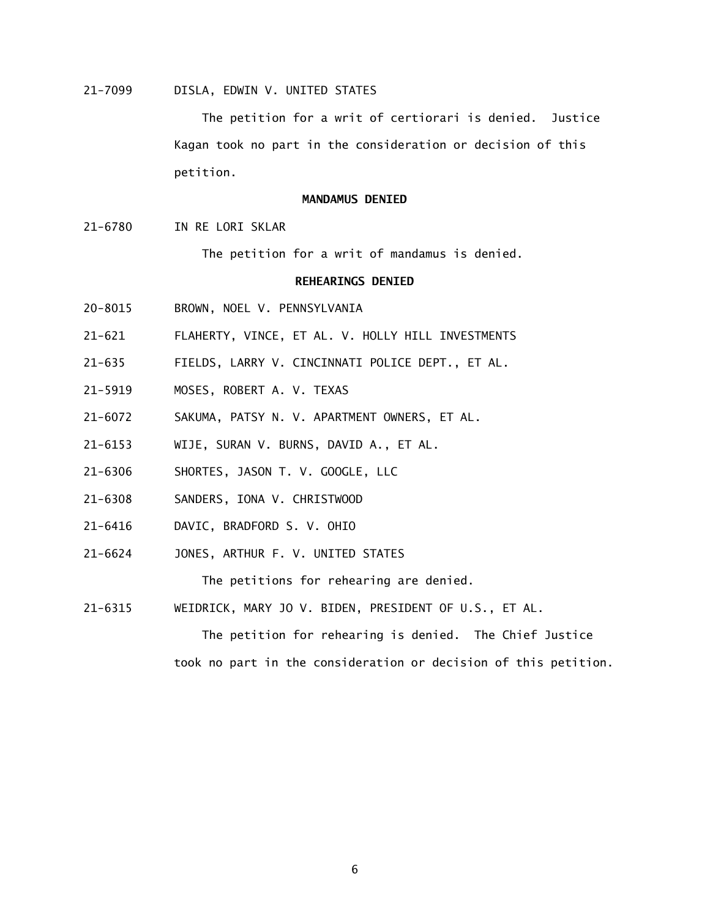## 21-7099 DISLA, EDWIN V. UNITED STATES

 The petition for a writ of certiorari is denied. Justice Kagan took no part in the consideration or decision of this petition.

### **MANDAMUS DENIED**

21-6780 IN RE LORI SKLAR

The petition for a writ of mandamus is denied.

## **REHEARINGS DENIED**

- 20-8015 BROWN, NOEL V. PENNSYLVANIA
- 21-621 FLAHERTY, VINCE, ET AL. V. HOLLY HILL INVESTMENTS
- 21-635 FIELDS, LARRY V. CINCINNATI POLICE DEPT., ET AL.
- 21-5919 MOSES, ROBERT A. V. TEXAS
- 21-6072 SAKUMA, PATSY N. V. APARTMENT OWNERS, ET AL.
- 21-6153 WIJE, SURAN V. BURNS, DAVID A., ET AL.
- 21-6306 SHORTES, JASON T. V. GOOGLE, LLC
- 21-6308 SANDERS, IONA V. CHRISTWOOD
- 21-6416 DAVIC, BRADFORD S. V. OHIO
- 21-6624 JONES, ARTHUR F. V. UNITED STATES

The petitions for rehearing are denied.

21-6315 WEIDRICK, MARY JO V. BIDEN, PRESIDENT OF U.S., ET AL.

 The petition for rehearing is denied. The Chief Justice took no part in the consideration or decision of this petition.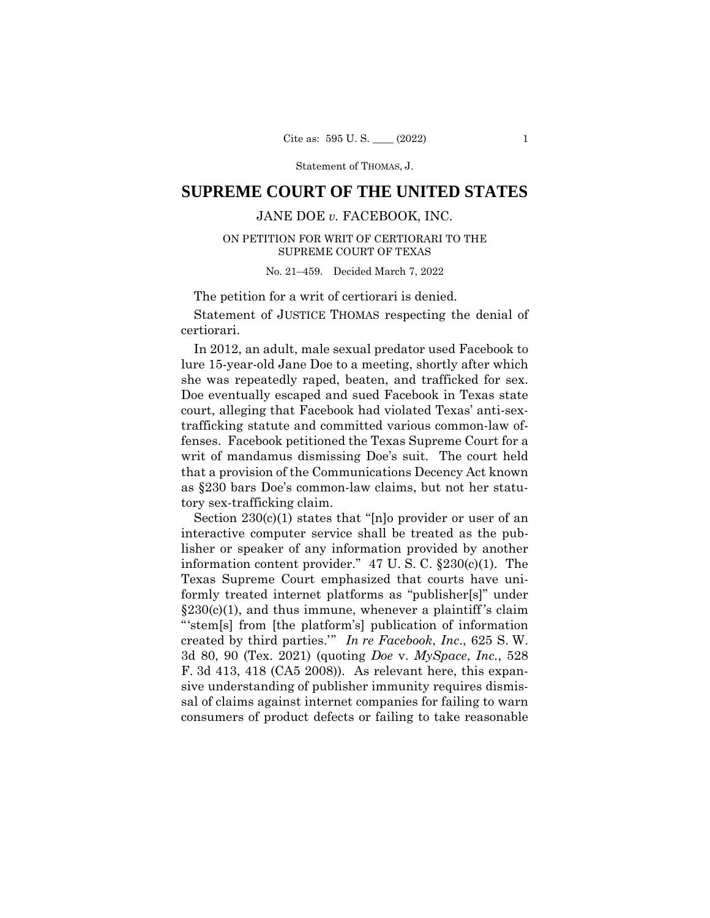Statement of THOMAS, J.

# **SUPREME COURT OF THE UNITED STATES**

## JANE DOE *v.* FACEBOOK, INC.

### ON PETITION FOR WRIT OF CERTIORARI TO THE SUPREME COURT OF TEXAS

No. 21–459. Decided March 7, 2022

The petition for a writ of certiorari is denied.

 Statement of JUSTICE THOMAS respecting the denial of certiorari.

In 2012, an adult, male sexual predator used Facebook to lure 15-year-old Jane Doe to a meeting, shortly after which she was repeatedly raped, beaten, and trafficked for sex. Doe eventually escaped and sued Facebook in Texas state court, alleging that Facebook had violated Texas' anti-sextrafficking statute and committed various common-law offenses. Facebook petitioned the Texas Supreme Court for a writ of mandamus dismissing Doe's suit. The court held that a provision of the Communications Decency Act known as §230 bars Doe's common-law claims, but not her statutory sex-trafficking claim.

Section 230(c)(1) states that "[n]o provider or user of an interactive computer service shall be treated as the publisher or speaker of any information provided by another information content provider."  $47 \text{ U}$ . S. C.  $\S 230 \text{ (c)}(1)$ . The Texas Supreme Court emphasized that courts have uniformly treated internet platforms as "publisher[s]" under  $\S 230(c)(1)$ , and thus immune, whenever a plaintiff's claim "'stem[s] from [the platform's] publication of information created by third parties.'" *In re Facebook*, *Inc*., 625 S. W. 3d 80, 90 (Tex. 2021) (quoting *Doe* v. *MySpace*, *Inc.*, 528 F. 3d 413, 418 (CA5 2008)). As relevant here, this expansive understanding of publisher immunity requires dismissal of claims against internet companies for failing to warn consumers of product defects or failing to take reasonable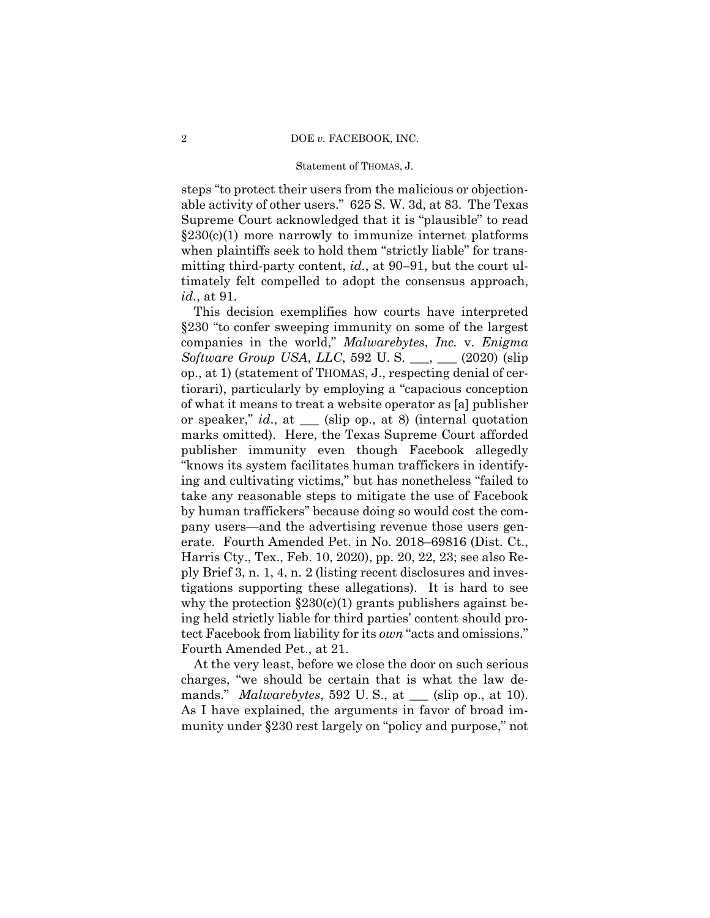#### Statement of THOMAS, J.

able activity of other users." 625 S. W. 3d, at 83. The Texas steps "to protect their users from the malicious or objection-Supreme Court acknowledged that it is "plausible" to read  $\S 230(c)(1)$  more narrowly to immunize internet platforms when plaintiffs seek to hold them "strictly liable" for transmitting third-party content, *id.*, at 90–91, but the court ultimately felt compelled to adopt the consensus approach, *id.*, at 91.

This decision exemplifies how courts have interpreted §230 "to confer sweeping immunity on some of the largest companies in the world," *Malwarebytes*, *Inc.* v. *Enigma Software Group USA*, *LLC*, 592 U. S. \_\_\_, \_\_\_ (2020) (slip op., at 1) (statement of THOMAS, J., respecting denial of certiorari), particularly by employing a "capacious conception of what it means to treat a website operator as [a] publisher or speaker," *id*., at \_\_\_ (slip op., at 8) (internal quotation marks omitted). Here, the Texas Supreme Court afforded publisher immunity even though Facebook allegedly "knows its system facilitates human traffickers in identifying and cultivating victims," but has nonetheless "failed to take any reasonable steps to mitigate the use of Facebook by human traffickers" because doing so would cost the company users—and the advertising revenue those users generate. Fourth Amended Pet. in No. 2018–69816 (Dist. Ct., Harris Cty., Tex., Feb. 10, 2020), pp. 20, 22, 23; see also Reply Brief 3, n. 1, 4, n. 2 (listing recent disclosures and investigations supporting these allegations). It is hard to see why the protection  $\S 230(c)(1)$  grants publishers against being held strictly liable for third parties' content should protect Facebook from liability for its *own* "acts and omissions." Fourth Amended Pet., at 21.

At the very least, before we close the door on such serious charges, "we should be certain that is what the law demands." *Malwarebytes*, 592 U. S., at \_\_\_ (slip op., at 10). As I have explained, the arguments in favor of broad immunity under §230 rest largely on "policy and purpose," not